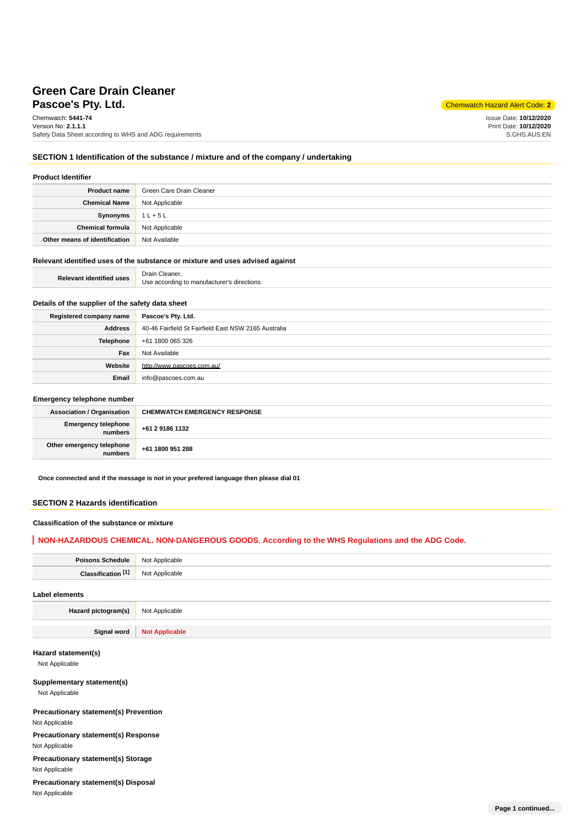# **Pascoe's Pty. Ltd.** Chemwatch Hazard Alert Code: **2 Green Care Drain Cleaner**

Chemwatch: **5441-74** Version No: **2.1.1.1** Safety Data Sheet according to WHS and ADG requirements

Issue Date: **10/12/2020** Print Date: **10/12/2020** S.GHS.AUS.EN

### **SECTION 1 Identification of the substance / mixture and of the company / undertaking**

| <b>Product Identifier</b> |  |
|---------------------------|--|
|---------------------------|--|

| <b>Product name</b>           | Green Care Drain Cleaner |
|-------------------------------|--------------------------|
| <b>Chemical Name</b>          | Not Applicable           |
| Synonyms                      | $1 L + 5 L$              |
| <b>Chemical formula</b>       | Not Applicable           |
| Other means of identification | Not Available            |

#### **Relevant identified uses of the substance or mixture and uses advised against**

| <b>Relevant identified uses</b> | Drain Cleaner.                              |
|---------------------------------|---------------------------------------------|
|                                 | Use according to manufacturer's directions. |

# **Details of the supplier of the safety data sheet**

| Registered company name | Pascoe's Pty. Ltd.                                   |
|-------------------------|------------------------------------------------------|
| Address                 | 40-46 Fairfield St Fairfield East NSW 2165 Australia |
| Telephone               | +61 1800 065 326                                     |
| Fax                     | Not Available                                        |
| Website                 | http://www.pascoes.com.au/                           |
| Email                   | info@pascoes.com.au                                  |

#### **Emergency telephone number**

| <b>Association / Organisation</b>    | <b>CHEMWATCH EMERGENCY RESPONSE</b> |
|--------------------------------------|-------------------------------------|
| Emergency telephone<br>numbers       | +61 2 9186 1132                     |
| Other emergency telephone<br>numbers | +61 1800 951 288                    |

**Once connected and if the message is not in your prefered language then please dial 01**

# **SECTION 2 Hazards identification**

### **Classification of the substance or mixture**

### **NON-HAZARDOUS CHEMICAL. NON-DANGEROUS GOODS. According to the WHS Regulations and the ADG Code.**

| Poisons Schedule   Not Applicable |                |
|-----------------------------------|----------------|
| Classification <sup>[1]</sup>     | Not Applicable |
| Label elements                    |                |

**Hazard pictogram(s)** Not Applicable

**Signal word Not Applicable**

# **Hazard statement(s)**

Not Applicable

## **Supplementary statement(s)**

Not Applicable

# **Precautionary statement(s) Prevention**

Not Applicable

# **Precautionary statement(s) Response**

Not Applicable

**Precautionary statement(s) Storage**

Not Applicable

## **Precautionary statement(s) Disposal** Not Applicable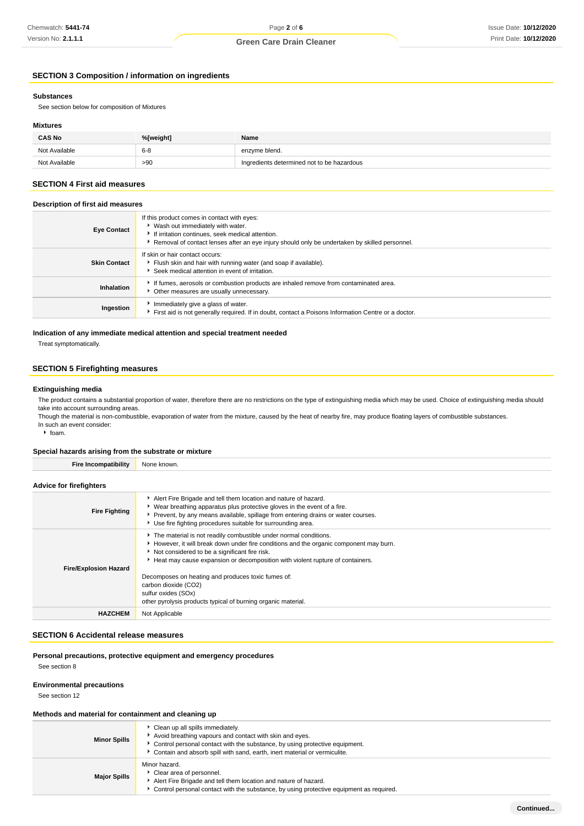# **Green Care Drain Cleaner**

# **SECTION 3 Composition / information on ingredients**

#### **Substances**

See section below for composition of Mixtures

### **Mixtures**

| <b>CAS No</b> | %[weight] | Name                                       |
|---------------|-----------|--------------------------------------------|
| Not Available | $6 - 8$   | enzyme blend.                              |
| Not Available | >90       | Ingredients determined not to be hazardous |

# **SECTION 4 First aid measures**

# **Description of first aid measures**

| <b>Eye Contact</b>  | If this product comes in contact with eyes:<br>▶ Wash out immediately with water.<br>If irritation continues, seek medical attention.<br>▶ Removal of contact lenses after an eye injury should only be undertaken by skilled personnel. |
|---------------------|------------------------------------------------------------------------------------------------------------------------------------------------------------------------------------------------------------------------------------------|
| <b>Skin Contact</b> | If skin or hair contact occurs:<br>Flush skin and hair with running water (and soap if available).<br>Seek medical attention in event of irritation.                                                                                     |
| Inhalation          | If fumes, aerosols or combustion products are inhaled remove from contaminated area.<br>Other measures are usually unnecessary.                                                                                                          |
| Ingestion           | Immediately give a glass of water.<br>First aid is not generally required. If in doubt, contact a Poisons Information Centre or a doctor.                                                                                                |

### **Indication of any immediate medical attention and special treatment needed**

Treat symptomatically.

## **SECTION 5 Firefighting measures**

### **Extinguishing media**

The product contains a substantial proportion of water, therefore there are no restrictions on the type of extinguishing media which may be used. Choice of extinguishing media should take into account surrounding areas.

Though the material is non-combustible, evaporation of water from the mixture, caused by the heat of nearby fire, may produce floating layers of combustible substances. In such an event consider:

 $\cdot$  foam.

#### **Special hazards arising from the substrate or mixture**

| <b>Fire Incompatibility</b>    | None known.                                                                                                                                                                                                                                                                                                                                                                                                                                                       |
|--------------------------------|-------------------------------------------------------------------------------------------------------------------------------------------------------------------------------------------------------------------------------------------------------------------------------------------------------------------------------------------------------------------------------------------------------------------------------------------------------------------|
| <b>Advice for firefighters</b> |                                                                                                                                                                                                                                                                                                                                                                                                                                                                   |
| <b>Fire Fighting</b>           | Alert Fire Brigade and tell them location and nature of hazard.<br>• Wear breathing apparatus plus protective gloves in the event of a fire.<br>Prevent, by any means available, spillage from entering drains or water courses.<br>• Use fire fighting procedures suitable for surrounding area.                                                                                                                                                                 |
| <b>Fire/Explosion Hazard</b>   | The material is not readily combustible under normal conditions.<br>However, it will break down under fire conditions and the organic component may burn.<br>Not considered to be a significant fire risk.<br>Heat may cause expansion or decomposition with violent rupture of containers.<br>Decomposes on heating and produces toxic fumes of:<br>carbon dioxide (CO2)<br>sulfur oxides (SOx)<br>other pyrolysis products typical of burning organic material. |
| <b>HAZCHEM</b>                 | Not Applicable                                                                                                                                                                                                                                                                                                                                                                                                                                                    |

#### **SECTION 6 Accidental release measures**

# **Personal precautions, protective equipment and emergency procedures**

See section 8

#### **Environmental precautions**

See section 12

#### **Methods and material for containment and cleaning up**

| <b>Minor Spills</b> | Clean up all spills immediately.<br>Avoid breathing vapours and contact with skin and eyes.<br>Control personal contact with the substance, by using protective equipment.<br>Contain and absorb spill with sand, earth, inert material or vermiculite. |
|---------------------|---------------------------------------------------------------------------------------------------------------------------------------------------------------------------------------------------------------------------------------------------------|
| <b>Major Spills</b> | Minor hazard.<br>Clear area of personnel.<br>Alert Fire Brigade and tell them location and nature of hazard.<br>Control personal contact with the substance, by using protective equipment as required.                                                 |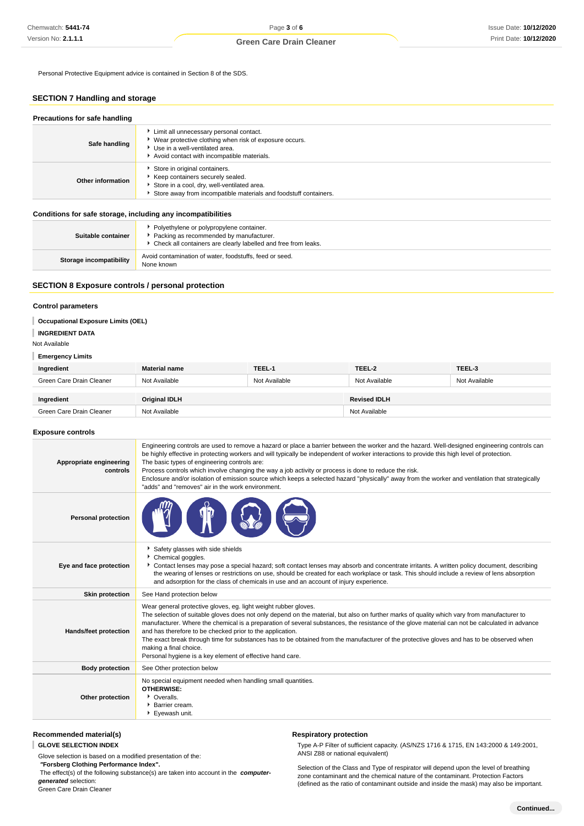Personal Protective Equipment advice is contained in Section 8 of the SDS.

# **SECTION 7 Handling and storage**

| Precautions for safe handling |                                                                                                                                                                                      |  |
|-------------------------------|--------------------------------------------------------------------------------------------------------------------------------------------------------------------------------------|--|
| Safe handling                 | Limit all unnecessary personal contact.<br>▶ Wear protective clothing when risk of exposure occurs.<br>Use in a well-ventilated area.<br>Avoid contact with incompatible materials.  |  |
| Other information             | Store in original containers.<br>Keep containers securely sealed.<br>Store in a cool, dry, well-ventilated area.<br>Store away from incompatible materials and foodstuff containers. |  |

#### **Conditions for safe storage, including any incompatibilities**

| Suitable container             | Polyethylene or polypropylene container.<br>Packing as recommended by manufacturer.<br>• Check all containers are clearly labelled and free from leaks. |  |
|--------------------------------|---------------------------------------------------------------------------------------------------------------------------------------------------------|--|
| <b>Storage incompatibility</b> | Avoid contamination of water, foodstuffs, feed or seed.<br>None known                                                                                   |  |

### **SECTION 8 Exposure controls / personal protection**

### **Control parameters**

### **Occupational Exposure Limits (OEL)**

#### **INGREDIENT DATA**

Not Available

#### **Emergency Limits**

| Ingredient               | <b>Material name</b> | TEEL-1        | TEEL-2              | TEEL-3        |
|--------------------------|----------------------|---------------|---------------------|---------------|
| Green Care Drain Cleaner | Not Available        | Not Available | Not Available       | Not Available |
|                          |                      |               |                     |               |
| Ingredient               | <b>Original IDLH</b> |               | <b>Revised IDLH</b> |               |
| Green Care Drain Cleaner | Not Available        |               | Not Available       |               |

#### **Exposure controls**

| Appropriate engineering<br>controls | Engineering controls are used to remove a hazard or place a barrier between the worker and the hazard. Well-designed engineering controls can<br>be highly effective in protecting workers and will typically be independent of worker interactions to provide this high level of protection.<br>The basic types of engineering controls are:<br>Process controls which involve changing the way a job activity or process is done to reduce the risk.<br>Enclosure and/or isolation of emission source which keeps a selected hazard "physically" away from the worker and ventilation that strategically<br>"adds" and "removes" air in the work environment.   |
|-------------------------------------|-------------------------------------------------------------------------------------------------------------------------------------------------------------------------------------------------------------------------------------------------------------------------------------------------------------------------------------------------------------------------------------------------------------------------------------------------------------------------------------------------------------------------------------------------------------------------------------------------------------------------------------------------------------------|
| <b>Personal protection</b>          |                                                                                                                                                                                                                                                                                                                                                                                                                                                                                                                                                                                                                                                                   |
| Eye and face protection             | Safety glasses with side shields<br>Chemical goggles.<br>Contact lenses may pose a special hazard; soft contact lenses may absorb and concentrate irritants. A written policy document, describing<br>the wearing of lenses or restrictions on use, should be created for each workplace or task. This should include a review of lens absorption<br>and adsorption for the class of chemicals in use and an account of injury experience.                                                                                                                                                                                                                        |
| <b>Skin protection</b>              | See Hand protection below                                                                                                                                                                                                                                                                                                                                                                                                                                                                                                                                                                                                                                         |
| Hands/feet protection               | Wear general protective gloves, eg. light weight rubber gloves.<br>The selection of suitable gloves does not only depend on the material, but also on further marks of quality which vary from manufacturer to<br>manufacturer. Where the chemical is a preparation of several substances, the resistance of the glove material can not be calculated in advance<br>and has therefore to be checked prior to the application.<br>The exact break through time for substances has to be obtained from the manufacturer of the protective gloves and has to be observed when<br>making a final choice.<br>Personal hygiene is a key element of effective hand care. |
| <b>Body protection</b>              | See Other protection below                                                                                                                                                                                                                                                                                                                                                                                                                                                                                                                                                                                                                                        |
| Other protection                    | No special equipment needed when handling small quantities.<br><b>OTHERWISE:</b><br>• Overalls.<br>Barrier cream.<br>Eyewash unit.                                                                                                                                                                                                                                                                                                                                                                                                                                                                                                                                |

### **Recommended material(s)**

**GLOVE SELECTION INDEX**

Glove selection is based on a modified presentation of the:

 **"Forsberg Clothing Performance Index".**

 The effect(s) of the following substance(s) are taken into account in the **computergenerated** selection:

Green Care Drain Cleaner

# **Respiratory protection**

Type A-P Filter of sufficient capacity. (AS/NZS 1716 & 1715, EN 143:2000 & 149:2001, ANSI Z88 or national equivalent)

Selection of the Class and Type of respirator will depend upon the level of breathing zone contaminant and the chemical nature of the contaminant. Protection Factors (defined as the ratio of contaminant outside and inside the mask) may also be important.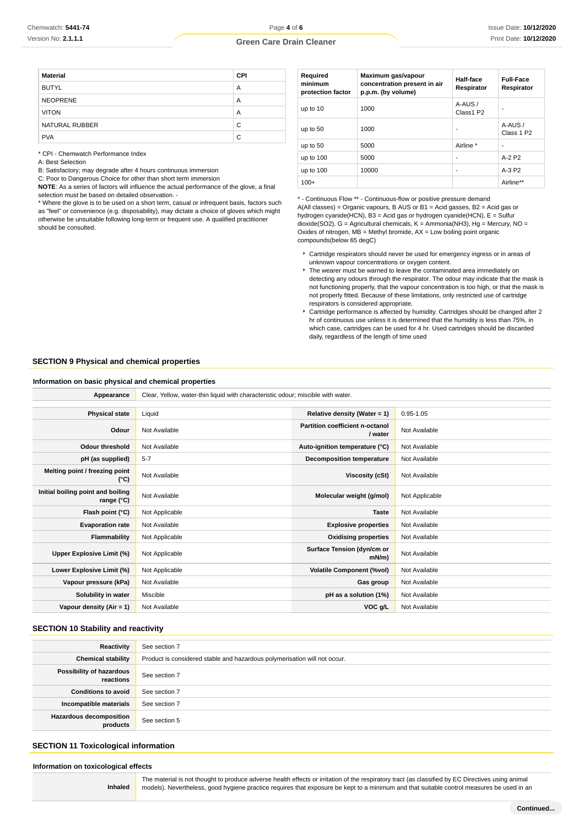# **Green Care Drain Cleaner**

| <b>Material</b> | <b>CPI</b> |
|-----------------|------------|
| <b>BUTYL</b>    | A          |
| <b>NEOPRENE</b> | A          |
| <b>VITON</b>    | A          |
| NATURAL RUBBER  | C          |
| <b>PVA</b>      | C          |

\* CPI - Chemwatch Performance Index

A: Best Selection

B: Satisfactory; may degrade after 4 hours continuous immersion C: Poor to Dangerous Choice for other than short term immersion

**NOTE**: As a series of factors will influence the actual performance of the glove, a final selection must be based on detailed observation. -

\* Where the glove is to be used on a short term, casual or infrequent basis, factors such as "feel" or convenience (e.g. disposability), may dictate a choice of gloves which might otherwise be unsuitable following long-term or frequent use. A qualified practitioner should be consulted.

| Required<br>minimum<br>protection factor | Maximum gas/vapour<br>concentration present in air<br>p.p.m. (by volume) | Half-face<br>Respirator | <b>Full-Face</b><br>Respirator |
|------------------------------------------|--------------------------------------------------------------------------|-------------------------|--------------------------------|
| up to 10                                 | 1000                                                                     | A-AUS /<br>Class1 P2    |                                |
| up to 50                                 | 1000                                                                     | ۰                       | A-AUS/<br>Class 1 P2           |
| up to 50                                 | 5000                                                                     | Airline *               | ۰                              |
| up to 100                                | 5000                                                                     | ٠                       | $A-2P2$                        |
| up to 100                                | 10000                                                                    | ٠                       | $A-3P2$                        |
| $100+$                                   |                                                                          |                         | Airline**                      |

\* - Continuous Flow \*\* - Continuous-flow or positive pressure demand A(All classes) = Organic vapours, B AUS or B1 = Acid gasses, B2 = Acid gas or hydrogen cyanide(HCN), B3 = Acid gas or hydrogen cyanide(HCN), E = Sulfur dioxide(SO2), G = Agricultural chemicals, K = Ammonia(NH3), Hg = Mercury, NO = Oxides of nitrogen,  $MB =$  Methyl bromide,  $AX =$  Low boiling point organic compounds(below 65 degC)

- Cartridge respirators should never be used for emergency ingress or in areas of unknown vapour concentrations or oxygen content.
- The wearer must be warned to leave the contaminated area immediately on detecting any odours through the respirator. The odour may indicate that the mask is not functioning properly, that the vapour concentration is too high, or that the mask is not properly fitted. Because of these limitations, only restricted use of cartridge respirators is considered appropriate.
- Cartridge performance is affected by humidity. Cartridges should be changed after 2 hr of continuous use unless it is determined that the humidity is less than 75%, in which case, cartridges can be used for 4 hr. Used cartridges should be discarded daily, regardless of the length of time used

#### **SECTION 9 Physical and chemical properties**

### **Information on basic physical and chemical properties**

| Appearance                                      | Clear, Yellow, water-thin liquid with characteristic odour; miscible with water. |                                            |                |
|-------------------------------------------------|----------------------------------------------------------------------------------|--------------------------------------------|----------------|
| <b>Physical state</b>                           | Liquid                                                                           | Relative density (Water = 1)               | $0.95 - 1.05$  |
| Odour                                           | Not Available                                                                    | Partition coefficient n-octanol<br>/ water | Not Available  |
| <b>Odour threshold</b>                          | Not Available                                                                    | Auto-ignition temperature (°C)             | Not Available  |
| pH (as supplied)                                | $5 - 7$                                                                          | Decomposition temperature                  | Not Available  |
| Melting point / freezing point<br>(°C)          | Not Available                                                                    | Viscosity (cSt)                            | Not Available  |
| Initial boiling point and boiling<br>range (°C) | Not Available                                                                    | Molecular weight (g/mol)                   | Not Applicable |
| Flash point (°C)                                | Not Applicable                                                                   | <b>Taste</b>                               | Not Available  |
| <b>Evaporation rate</b>                         | Not Available                                                                    | <b>Explosive properties</b>                | Not Available  |
| Flammability                                    | Not Applicable                                                                   | <b>Oxidising properties</b>                | Not Available  |
| Upper Explosive Limit (%)                       | Not Applicable                                                                   | Surface Tension (dyn/cm or<br>$mN/m$ )     | Not Available  |
| Lower Explosive Limit (%)                       | Not Applicable                                                                   | <b>Volatile Component (%vol)</b>           | Not Available  |
| Vapour pressure (kPa)                           | Not Available                                                                    | Gas group                                  | Not Available  |
| Solubility in water                             | Miscible                                                                         | pH as a solution (1%)                      | Not Available  |
| Vapour density $(Air = 1)$                      | Not Available                                                                    | VOC g/L                                    | Not Available  |

# **SECTION 10 Stability and reactivity**

| Reactivity                            | See section 7                                                             |
|---------------------------------------|---------------------------------------------------------------------------|
| <b>Chemical stability</b>             | Product is considered stable and hazardous polymerisation will not occur. |
| Possibility of hazardous<br>reactions | See section 7                                                             |
| <b>Conditions to avoid</b>            | See section 7                                                             |
| Incompatible materials                | See section 7                                                             |
| Hazardous decomposition<br>products   | See section 5                                                             |

## **SECTION 11 Toxicological information**

#### **Information on toxicological effects**

**Inhaled**

The material is not thought to produce adverse health effects or irritation of the respiratory tract (as classified by EC Directives using animal models). Nevertheless, good hygiene practice requires that exposure be kept to a minimum and that suitable control measures be used in an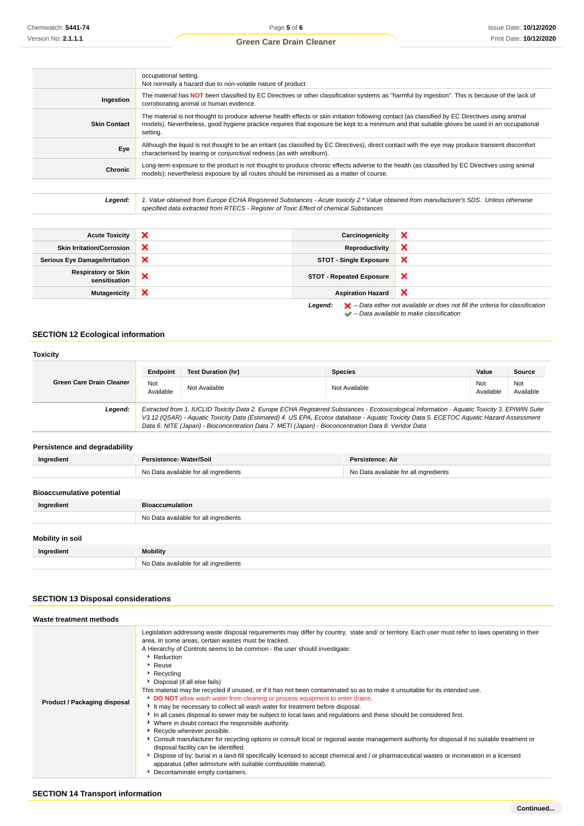# **Green Care Drain Cleaner**

|                     | occupational setting.<br>Not normally a hazard due to non-volatile nature of product                                                                                                                                                                                                                        |
|---------------------|-------------------------------------------------------------------------------------------------------------------------------------------------------------------------------------------------------------------------------------------------------------------------------------------------------------|
| Ingestion           | The material has NOT been classified by EC Directives or other classification systems as "harmful by ingestion". This is because of the lack of<br>corroborating animal or human evidence.                                                                                                                  |
| <b>Skin Contact</b> | The material is not thought to produce adverse health effects or skin irritation following contact (as classified by EC Directives using animal<br>models). Nevertheless, good hygiene practice requires that exposure be kept to a minimum and that suitable gloves be used in an occupational<br>setting. |
| Eye                 | Although the liquid is not thought to be an irritant (as classified by EC Directives), direct contact with the eye may produce transient discomfort<br>characterised by tearing or conjunctival redness (as with windburn).                                                                                 |
| Chronic             | Long-term exposure to the product is not thought to produce chronic effects adverse to the health (as classified by EC Directives using animal<br>models); nevertheless exposure by all routes should be minimised as a matter of course.                                                                   |
|                     |                                                                                                                                                                                                                                                                                                             |

Legend: 1. Value obtained from Europe ECHA Registered Substances - Acute toxicity 2.\* Value obtained from manufacturer's SDS. Unless otherwise specified data extracted from RTECS - Register of Toxic Effect of chemical Substances

| <b>Acute Toxicity</b>                | × | Carcinogenicity                 | × |
|--------------------------------------|---|---------------------------------|---|
| <b>Skin Irritation/Corrosion</b>     | × | Reproductivity                  | × |
| <b>Serious Eye Damage/Irritation</b> | × | <b>STOT - Single Exposure</b>   | × |
| Respiratory or Skin<br>sensitisation | × | <b>STOT - Repeated Exposure</b> | × |
| <b>Mutagenicity</b>                  | × | <b>Aspiration Hazard</b>        | × |
|                                      |   |                                 |   |

**Legend:**  $\mathbf{X}$  – Data either not available or does not fill the criteria for classification – Data available to make classification

# **SECTION 12 Ecological information**

| <b>Toxicity</b>                  |                                                                                                                                                                                                                                                                                                                                                                                                 |                                       |                  |                                       |                  |
|----------------------------------|-------------------------------------------------------------------------------------------------------------------------------------------------------------------------------------------------------------------------------------------------------------------------------------------------------------------------------------------------------------------------------------------------|---------------------------------------|------------------|---------------------------------------|------------------|
|                                  | Endpoint                                                                                                                                                                                                                                                                                                                                                                                        | <b>Test Duration (hr)</b>             | <b>Species</b>   | Value                                 | Source           |
| <b>Green Care Drain Cleaner</b>  | Not<br>Available                                                                                                                                                                                                                                                                                                                                                                                | Not Available                         | Not Available    | Not<br>Available                      | Not<br>Available |
| Legend:                          | Extracted from 1. IUCLID Toxicity Data 2. Europe ECHA Registered Substances - Ecotoxicological Information - Aquatic Toxicity 3. EPIWIN Suite<br>V3.12 (QSAR) - Aquatic Toxicity Data (Estimated) 4. US EPA, Ecotox database - Aquatic Toxicity Data 5. ECETOC Aquatic Hazard Assessment<br>Data 6. NITE (Japan) - Bioconcentration Data 7. METI (Japan) - Bioconcentration Data 8. Vendor Data |                                       |                  |                                       |                  |
| Persistence and degradability    |                                                                                                                                                                                                                                                                                                                                                                                                 |                                       |                  |                                       |                  |
| Ingredient                       | <b>Persistence: Water/Soil</b>                                                                                                                                                                                                                                                                                                                                                                  |                                       | Persistence: Air |                                       |                  |
|                                  | No Data available for all ingredients                                                                                                                                                                                                                                                                                                                                                           |                                       |                  | No Data available for all ingredients |                  |
| <b>Bioaccumulative potential</b> |                                                                                                                                                                                                                                                                                                                                                                                                 |                                       |                  |                                       |                  |
| Ingredient                       | <b>Bioaccumulation</b>                                                                                                                                                                                                                                                                                                                                                                          |                                       |                  |                                       |                  |
|                                  |                                                                                                                                                                                                                                                                                                                                                                                                 | No Data available for all ingredients |                  |                                       |                  |
| Mobility in soil                 |                                                                                                                                                                                                                                                                                                                                                                                                 |                                       |                  |                                       |                  |
| Ingredient                       | <b>Mobility</b>                                                                                                                                                                                                                                                                                                                                                                                 |                                       |                  |                                       |                  |
|                                  |                                                                                                                                                                                                                                                                                                                                                                                                 | No Data available for all ingredients |                  |                                       |                  |

# **SECTION 13 Disposal considerations**

| Waste treatment methods      |                                                                                                                                                                                                                                                                                                                                                                                                                                                                                                                                                                                                                                                                                                                                                                                                                                                                                                                                                                                                                                                                                                                                                                                                                                                                                                                                                                 |
|------------------------------|-----------------------------------------------------------------------------------------------------------------------------------------------------------------------------------------------------------------------------------------------------------------------------------------------------------------------------------------------------------------------------------------------------------------------------------------------------------------------------------------------------------------------------------------------------------------------------------------------------------------------------------------------------------------------------------------------------------------------------------------------------------------------------------------------------------------------------------------------------------------------------------------------------------------------------------------------------------------------------------------------------------------------------------------------------------------------------------------------------------------------------------------------------------------------------------------------------------------------------------------------------------------------------------------------------------------------------------------------------------------|
| Product / Packaging disposal | Legislation addressing waste disposal requirements may differ by country, state and/ or territory. Each user must refer to laws operating in their<br>area. In some areas, certain wastes must be tracked.<br>A Hierarchy of Controls seems to be common - the user should investigate:<br>Reduction<br>$\blacktriangleright$ Reuse<br>$\blacktriangleright$ Recycling<br>Disposal (if all else fails)<br>This material may be recycled if unused, or if it has not been contaminated so as to make it unsuitable for its intended use.<br>DO NOT allow wash water from cleaning or process equipment to enter drains.<br>It may be necessary to collect all wash water for treatment before disposal.<br>In all cases disposal to sewer may be subject to local laws and regulations and these should be considered first.<br>▶ Where in doubt contact the responsible authority.<br>Recycle wherever possible.<br>► Consult manufacturer for recycling options or consult local or regional waste management authority for disposal if no suitable treatment or<br>disposal facility can be identified.<br>▶ Dispose of by: burial in a land-fill specifically licensed to accept chemical and / or pharmaceutical wastes or incineration in a licensed<br>apparatus (after admixture with suitable combustible material).<br>Decontaminate empty containers. |